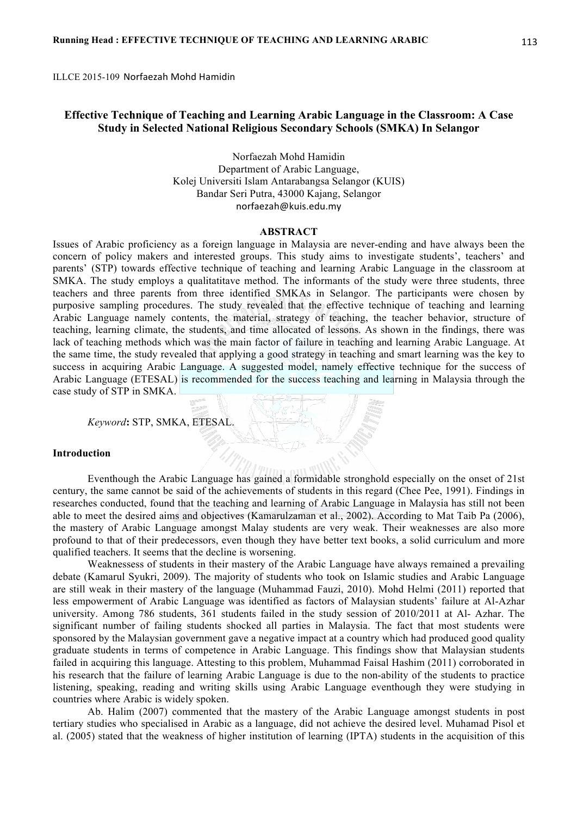ILLCE 2015-109 Norfaezah Mohd Hamidin

# **Effective Technique of Teaching and Learning Arabic Language in the Classroom: A Case Study in Selected National Religious Secondary Schools (SMKA) In Selangor**

Norfaezah Mohd Hamidin Department of Arabic Language, Kolej Universiti Islam Antarabangsa Selangor (KUIS) Bandar Seri Putra, 43000 Kajang, Selangor norfaezah@kuis.edu.my

# **ABSTRACT**

Issues of Arabic proficiency as a foreign language in Malaysia are never-ending and have always been the concern of policy makers and interested groups. This study aims to investigate students', teachers' and parents' (STP) towards effective technique of teaching and learning Arabic Language in the classroom at SMKA. The study employs a qualitatitave method. The informants of the study were three students, three teachers and three parents from three identified SMKAs in Selangor. The participants were chosen by purposive sampling procedures. The study revealed that the effective technique of teaching and learning Arabic Language namely contents, the material, strategy of teaching, the teacher behavior, structure of teaching, learning climate, the students, and time allocated of lessons. As shown in the findings, there was lack of teaching methods which was the main factor of failure in teaching and learning Arabic Language. At the same time, the study revealed that applying a good strategy in teaching and smart learning was the key to success in acquiring Arabic Language. A suggested model, namely effective technique for the success of Arabic Language (ETESAL) is recommended for the success teaching and learning in Malaysia through the case study of STP in SMKA.

*Keyword***:** STP, SMKA, ETESAL.

#### **Introduction**

Eventhough the Arabic Language has gained a formidable stronghold especially on the onset of 21st century, the same cannot be said of the achievements of students in this regard (Chee Pee, 1991). Findings in researches conducted, found that the teaching and learning of Arabic Language in Malaysia has still not been able to meet the desired aims and objectives (Kamarulzaman et al., 2002). According to Mat Taib Pa (2006), the mastery of Arabic Language amongst Malay students are very weak. Their weaknesses are also more profound to that of their predecessors, even though they have better text books, a solid curriculum and more qualified teachers. It seems that the decline is worsening.

Weaknessess of students in their mastery of the Arabic Language have always remained a prevailing debate (Kamarul Syukri, 2009). The majority of students who took on Islamic studies and Arabic Language are still weak in their mastery of the language (Muhammad Fauzi, 2010). Mohd Helmi (2011) reported that less empowerment of Arabic Language was identified as factors of Malaysian students' failure at Al-Azhar university. Among 786 students, 361 students failed in the study session of 2010/2011 at Al- Azhar. The significant number of failing students shocked all parties in Malaysia. The fact that most students were sponsored by the Malaysian government gave a negative impact at a country which had produced good quality graduate students in terms of competence in Arabic Language. This findings show that Malaysian students failed in acquiring this language. Attesting to this problem, Muhammad Faisal Hashim (2011) corroborated in his research that the failure of learning Arabic Language is due to the non-ability of the students to practice listening, speaking, reading and writing skills using Arabic Language eventhough they were studying in countries where Arabic is widely spoken.

Ab. Halim (2007) commented that the mastery of the Arabic Language amongst students in post tertiary studies who specialised in Arabic as a language, did not achieve the desired level. Muhamad Pisol et al. (2005) stated that the weakness of higher institution of learning (IPTA) students in the acquisition of this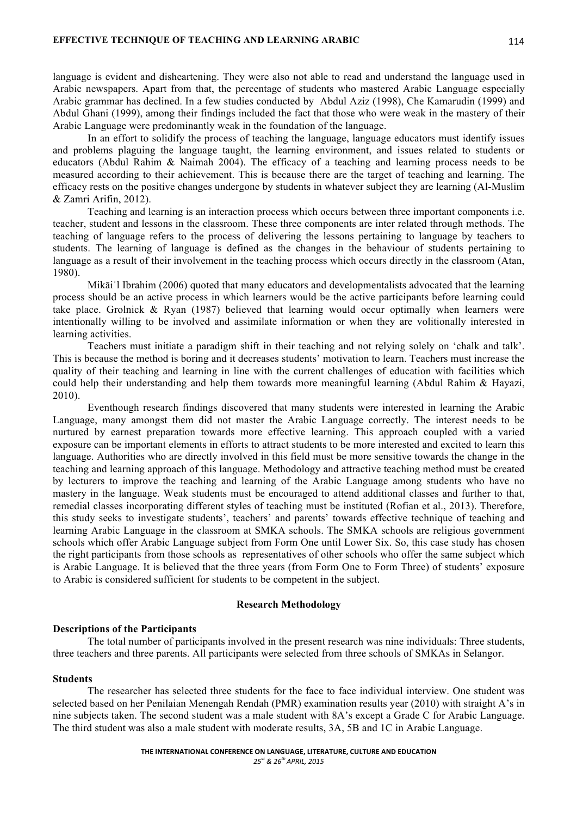language is evident and disheartening. They were also not able to read and understand the language used in Arabic newspapers. Apart from that, the percentage of students who mastered Arabic Language especially Arabic grammar has declined. In a few studies conducted by Abdul Aziz (1998), Che Kamarudin (1999) and Abdul Ghani (1999), among their findings included the fact that those who were weak in the mastery of their Arabic Language were predominantly weak in the foundation of the language.

In an effort to solidify the process of teaching the language, language educators must identify issues and problems plaguing the language taught, the learning environment, and issues related to students or educators (Abdul Rahim & Naimah 2004). The efficacy of a teaching and learning process needs to be measured according to their achievement. This is because there are the target of teaching and learning. The efficacy rests on the positive changes undergone by students in whatever subject they are learning (Al-Muslim & Zamri Arifin, 2012).

Teaching and learning is an interaction process which occurs between three important components i.e. teacher, student and lessons in the classroom. These three components are inter related through methods. The teaching of language refers to the process of delivering the lessons pertaining to language by teachers to students. The learning of language is defined as the changes in the behaviour of students pertaining to language as a result of their involvement in the teaching process which occurs directly in the classroom (Atan, 1980).

Mikāi'l Ibrahim (2006) quoted that many educators and developmentalists advocated that the learning process should be an active process in which learners would be the active participants before learning could take place. Grolnick & Ryan (1987) believed that learning would occur optimally when learners were intentionally willing to be involved and assimilate information or when they are volitionally interested in learning activities.

Teachers must initiate a paradigm shift in their teaching and not relying solely on 'chalk and talk'. This is because the method is boring and it decreases students' motivation to learn. Teachers must increase the quality of their teaching and learning in line with the current challenges of education with facilities which could help their understanding and help them towards more meaningful learning (Abdul Rahim & Hayazi, 2010).

Eventhough research findings discovered that many students were interested in learning the Arabic Language, many amongst them did not master the Arabic Language correctly. The interest needs to be nurtured by earnest preparation towards more effective learning. This approach coupled with a varied exposure can be important elements in efforts to attract students to be more interested and excited to learn this language. Authorities who are directly involved in this field must be more sensitive towards the change in the teaching and learning approach of this language. Methodology and attractive teaching method must be created by lecturers to improve the teaching and learning of the Arabic Language among students who have no mastery in the language. Weak students must be encouraged to attend additional classes and further to that, remedial classes incorporating different styles of teaching must be instituted (Rofian et al., 2013). Therefore, this study seeks to investigate students', teachers' and parents' towards effective technique of teaching and learning Arabic Language in the classroom at SMKA schools. The SMKA schools are religious government schools which offer Arabic Language subject from Form One until Lower Six. So, this case study has chosen the right participants from those schools as representatives of other schools who offer the same subject which is Arabic Language. It is believed that the three years (from Form One to Form Three) of students' exposure to Arabic is considered sufficient for students to be competent in the subject.

#### **Research Methodology**

#### **Descriptions of the Participants**

The total number of participants involved in the present research was nine individuals: Three students, three teachers and three parents. All participants were selected from three schools of SMKAs in Selangor.

#### **Students**

The researcher has selected three students for the face to face individual interview. One student was selected based on her Penilaian Menengah Rendah (PMR) examination results year (2010) with straight A's in nine subjects taken. The second student was a male student with 8A's except a Grade C for Arabic Language. The third student was also a male student with moderate results, 3A, 5B and 1C in Arabic Language.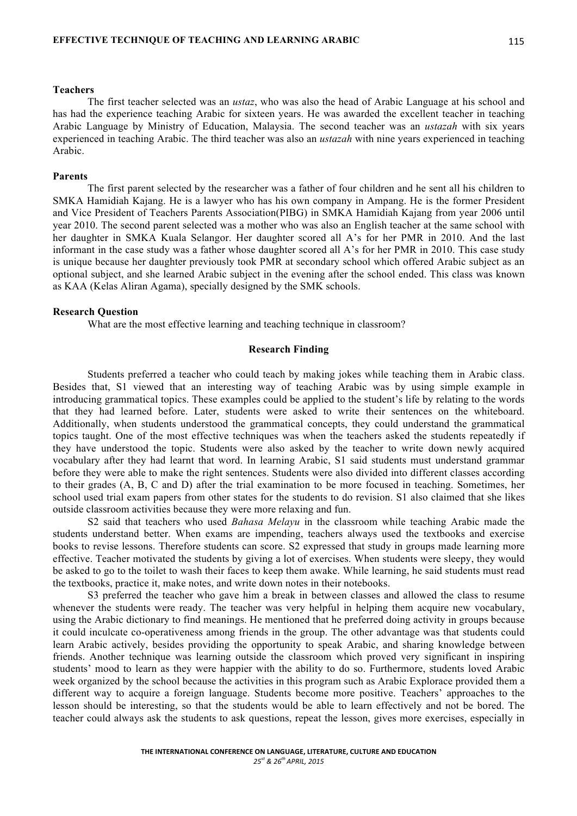#### **Teachers**

The first teacher selected was an *ustaz*, who was also the head of Arabic Language at his school and has had the experience teaching Arabic for sixteen years. He was awarded the excellent teacher in teaching Arabic Language by Ministry of Education, Malaysia. The second teacher was an *ustazah* with six years experienced in teaching Arabic. The third teacher was also an *ustazah* with nine years experienced in teaching Arabic.

#### **Parents**

The first parent selected by the researcher was a father of four children and he sent all his children to SMKA Hamidiah Kajang. He is a lawyer who has his own company in Ampang. He is the former President and Vice President of Teachers Parents Association(PIBG) in SMKA Hamidiah Kajang from year 2006 until year 2010. The second parent selected was a mother who was also an English teacher at the same school with her daughter in SMKA Kuala Selangor. Her daughter scored all A's for her PMR in 2010. And the last informant in the case study was a father whose daughter scored all A's for her PMR in 2010. This case study is unique because her daughter previously took PMR at secondary school which offered Arabic subject as an optional subject, and she learned Arabic subject in the evening after the school ended. This class was known as KAA (Kelas Aliran Agama), specially designed by the SMK schools.

# **Research Question**

What are the most effective learning and teaching technique in classroom?

### **Research Finding**

Students preferred a teacher who could teach by making jokes while teaching them in Arabic class. Besides that, S1 viewed that an interesting way of teaching Arabic was by using simple example in introducing grammatical topics. These examples could be applied to the student's life by relating to the words that they had learned before. Later, students were asked to write their sentences on the whiteboard. Additionally, when students understood the grammatical concepts, they could understand the grammatical topics taught. One of the most effective techniques was when the teachers asked the students repeatedly if they have understood the topic. Students were also asked by the teacher to write down newly acquired vocabulary after they had learnt that word. In learning Arabic, S1 said students must understand grammar before they were able to make the right sentences. Students were also divided into different classes according to their grades (A, B, C and D) after the trial examination to be more focused in teaching. Sometimes, her school used trial exam papers from other states for the students to do revision. S1 also claimed that she likes outside classroom activities because they were more relaxing and fun.

S2 said that teachers who used *Bahasa Melayu* in the classroom while teaching Arabic made the students understand better. When exams are impending, teachers always used the textbooks and exercise books to revise lessons. Therefore students can score. S2 expressed that study in groups made learning more effective. Teacher motivated the students by giving a lot of exercises. When students were sleepy, they would be asked to go to the toilet to wash their faces to keep them awake. While learning, he said students must read the textbooks, practice it, make notes, and write down notes in their notebooks.

S3 preferred the teacher who gave him a break in between classes and allowed the class to resume whenever the students were ready. The teacher was very helpful in helping them acquire new vocabulary, using the Arabic dictionary to find meanings. He mentioned that he preferred doing activity in groups because it could inculcate co-operativeness among friends in the group. The other advantage was that students could learn Arabic actively, besides providing the opportunity to speak Arabic, and sharing knowledge between friends. Another technique was learning outside the classroom which proved very significant in inspiring students' mood to learn as they were happier with the ability to do so. Furthermore, students loved Arabic week organized by the school because the activities in this program such as Arabic Explorace provided them a different way to acquire a foreign language. Students become more positive. Teachers' approaches to the lesson should be interesting, so that the students would be able to learn effectively and not be bored. The teacher could always ask the students to ask questions, repeat the lesson, gives more exercises, especially in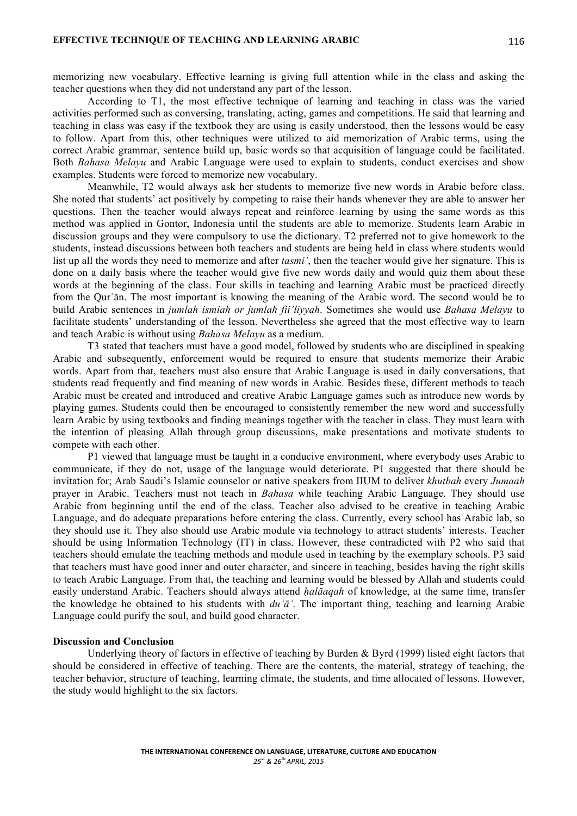memorizing new vocabulary. Effective learning is giving full attention while in the class and asking the teacher questions when they did not understand any part of the lesson.

According to T1, the most effective technique of learning and teaching in class was the varied activities performed such as conversing, translating, acting, games and competitions. He said that learning and teaching in class was easy if the textbook they are using is easily understood, then the lessons would be easy to follow. Apart from this, other techniques were utilized to aid memorization of Arabic terms, using the correct Arabic grammar, sentence build up, basic words so that acquisition of language could be facilitated. Both *Bahasa Melayu* and Arabic Language were used to explain to students, conduct exercises and show examples. Students were forced to memorize new vocabulary.

Meanwhile, T2 would always ask her students to memorize five new words in Arabic before class. She noted that students' act positively by competing to raise their hands whenever they are able to answer her questions. Then the teacher would always repeat and reinforce learning by using the same words as this method was applied in Gontor, Indonesia until the students are able to memorize. Students learn Arabic in discussion groups and they were compulsory to use the dictionary. T2 preferred not to give homework to the students, instead discussions between both teachers and students are being held in class where students would list up all the words they need to memorize and after *tasmi'*, then the teacher would give her signature. This is done on a daily basis where the teacher would give five new words daily and would quiz them about these words at the beginning of the class. Four skills in teaching and learning Arabic must be practiced directly from the Qurʾān. The most important is knowing the meaning of the Arabic word. The second would be to build Arabic sentences in *jumlah ismiah or jumlah fii'liyyah*. Sometimes she would use *Bahasa Melayu* to facilitate students' understanding of the lesson. Nevertheless she agreed that the most effective way to learn and teach Arabic is without using *Bahasa Melayu* as a medium.

T3 stated that teachers must have a good model, followed by students who are disciplined in speaking Arabic and subsequently, enforcement would be required to ensure that students memorize their Arabic words. Apart from that, teachers must also ensure that Arabic Language is used in daily conversations, that students read frequently and find meaning of new words in Arabic. Besides these, different methods to teach Arabic must be created and introduced and creative Arabic Language games such as introduce new words by playing games. Students could then be encouraged to consistently remember the new word and successfully learn Arabic by using textbooks and finding meanings together with the teacher in class. They must learn with the intention of pleasing Allah through group discussions, make presentations and motivate students to compete with each other.

P1 viewed that language must be taught in a conducive environment, where everybody uses Arabic to communicate, if they do not, usage of the language would deteriorate. P1 suggested that there should be invitation for; Arab Saudi's Islamic counselor or native speakers from IIUM to deliver *khutbah* every *Jumaah* prayer in Arabic. Teachers must not teach in *Bahasa* while teaching Arabic Language. They should use Arabic from beginning until the end of the class. Teacher also advised to be creative in teaching Arabic Language, and do adequate preparations before entering the class. Currently, every school has Arabic lab, so they should use it. They also should use Arabic module via technology to attract students' interests. Teacher should be using Information Technology (IT) in class. However, these contradicted with P2 who said that teachers should emulate the teaching methods and module used in teaching by the exemplary schools. P3 said that teachers must have good inner and outer character, and sincere in teaching, besides having the right skills to teach Arabic Language. From that, the teaching and learning would be blessed by Allah and students could easily understand Arabic. Teachers should always attend *ḥalāaqah* of knowledge, at the same time, transfer the knowledge he obtained to his students with *duʿāʾ*. The important thing, teaching and learning Arabic Language could purify the soul, and build good character.

#### **Discussion and Conclusion**

Underlying theory of factors in effective of teaching by Burden & Byrd (1999) listed eight factors that should be considered in effective of teaching. There are the contents, the material, strategy of teaching, the teacher behavior, structure of teaching, learning climate, the students, and time allocated of lessons. However, the study would highlight to the six factors.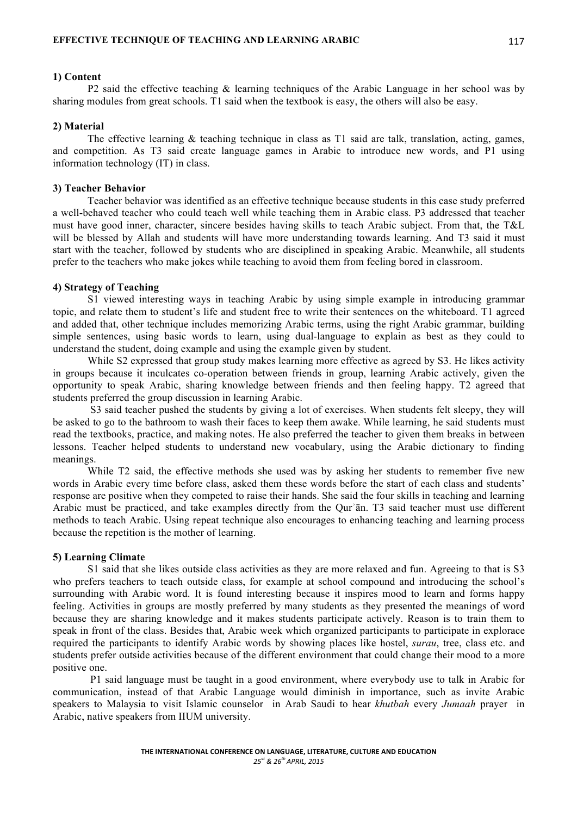#### **1) Content**

P2 said the effective teaching & learning techniques of the Arabic Language in her school was by sharing modules from great schools. T1 said when the textbook is easy, the others will also be easy.

# **2) Material**

The effective learning & teaching technique in class as T1 said are talk, translation, acting, games, and competition. As T3 said create language games in Arabic to introduce new words, and P1 using information technology (IT) in class.

# **3) Teacher Behavior**

Teacher behavior was identified as an effective technique because students in this case study preferred a well-behaved teacher who could teach well while teaching them in Arabic class. P3 addressed that teacher must have good inner, character, sincere besides having skills to teach Arabic subject. From that, the T&L will be blessed by Allah and students will have more understanding towards learning. And T3 said it must start with the teacher, followed by students who are disciplined in speaking Arabic. Meanwhile, all students prefer to the teachers who make jokes while teaching to avoid them from feeling bored in classroom.

#### **4) Strategy of Teaching**

S1 viewed interesting ways in teaching Arabic by using simple example in introducing grammar topic, and relate them to student's life and student free to write their sentences on the whiteboard. T1 agreed and added that, other technique includes memorizing Arabic terms, using the right Arabic grammar, building simple sentences, using basic words to learn, using dual-language to explain as best as they could to understand the student, doing example and using the example given by student.

While S2 expressed that group study makes learning more effective as agreed by S3. He likes activity in groups because it inculcates co-operation between friends in group, learning Arabic actively, given the opportunity to speak Arabic, sharing knowledge between friends and then feeling happy. T2 agreed that students preferred the group discussion in learning Arabic.

S3 said teacher pushed the students by giving a lot of exercises. When students felt sleepy, they will be asked to go to the bathroom to wash their faces to keep them awake. While learning, he said students must read the textbooks, practice, and making notes. He also preferred the teacher to given them breaks in between lessons. Teacher helped students to understand new vocabulary, using the Arabic dictionary to finding meanings.

While T2 said, the effective methods she used was by asking her students to remember five new words in Arabic every time before class, asked them these words before the start of each class and students' response are positive when they competed to raise their hands. She said the four skills in teaching and learning Arabic must be practiced, and take examples directly from the Qurʾān. T3 said teacher must use different methods to teach Arabic. Using repeat technique also encourages to enhancing teaching and learning process because the repetition is the mother of learning.

# **5) Learning Climate**

S1 said that she likes outside class activities as they are more relaxed and fun. Agreeing to that is S3 who prefers teachers to teach outside class, for example at school compound and introducing the school's surrounding with Arabic word. It is found interesting because it inspires mood to learn and forms happy feeling. Activities in groups are mostly preferred by many students as they presented the meanings of word because they are sharing knowledge and it makes students participate actively. Reason is to train them to speak in front of the class. Besides that, Arabic week which organized participants to participate in explorace required the participants to identify Arabic words by showing places like hostel, *surau*, tree, class etc. and students prefer outside activities because of the different environment that could change their mood to a more positive one.

P1 said language must be taught in a good environment, where everybody use to talk in Arabic for communication, instead of that Arabic Language would diminish in importance, such as invite Arabic speakers to Malaysia to visit Islamic counselor in Arab Saudi to hear *khutbah* every *Jumaah* prayer in Arabic, native speakers from IIUM university.